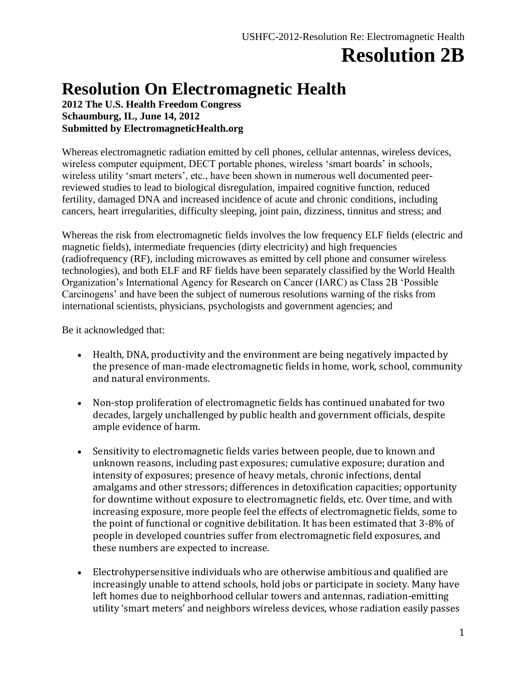# **Resolution 2B**

### **Resolution On Electromagnetic Health**

**2012 The U.S. Health Freedom Congress Schaumburg, IL, June 14, 2012 Submitted by ElectromagneticHealth.org**

Whereas electromagnetic radiation emitted by cell phones, cellular antennas, wireless devices, wireless computer equipment, DECT portable phones, wireless 'smart boards' in schools, wireless utility 'smart meters', etc., have been shown in numerous well documented peerreviewed studies to lead to biological disregulation, impaired cognitive function, reduced fertility, damaged DNA and increased incidence of acute and chronic conditions, including cancers, heart irregularities, difficulty sleeping, joint pain, dizziness, tinnitus and stress; and

Whereas the risk from electromagnetic fields involves the low frequency ELF fields (electric and magnetic fields), intermediate frequencies (dirty electricity) and high frequencies (radiofrequency (RF), including microwaves as emitted by cell phone and consumer wireless technologies), and both ELF and RF fields have been separately classified by the World Health Organization's International Agency for Research on Cancer (IARC) as Class 2B 'Possible Carcinogens' and have been the subject of numerous resolutions warning of the risks from international scientists, physicians, psychologists and government agencies; and

Be it acknowledged that:

- Health, DNA, productivity and the environment are being negatively impacted by the presence of man-made electromagnetic fields in home, work, school, community and natural environments.
- Non-stop proliferation of electromagnetic fields has continued unabated for two decades, largely unchallenged by public health and government officials, despite ample evidence of harm.
- Sensitivity to electromagnetic fields varies between people, due to known and unknown reasons, including past exposures; cumulative exposure; duration and intensity of exposures; presence of heavy metals, chronic infections, dental amalgams and other stressors; differences in detoxification capacities; opportunity for downtime without exposure to electromagnetic fields, etc. Over time, and with increasing exposure, more people feel the effects of electromagnetic fields, some to the point of functional or cognitive debilitation. It has been estimated that 3-8% of people in developed countries suffer from electromagnetic field exposures, and these numbers are expected to increase.
- Electrohypersensitive individuals who are otherwise ambitious and qualified are increasingly unable to attend schools, hold jobs or participate in society. Many have left homes due to neighborhood cellular towers and antennas, radiation-emitting utility 'smart meters' and neighbors wireless devices, whose radiation easily passes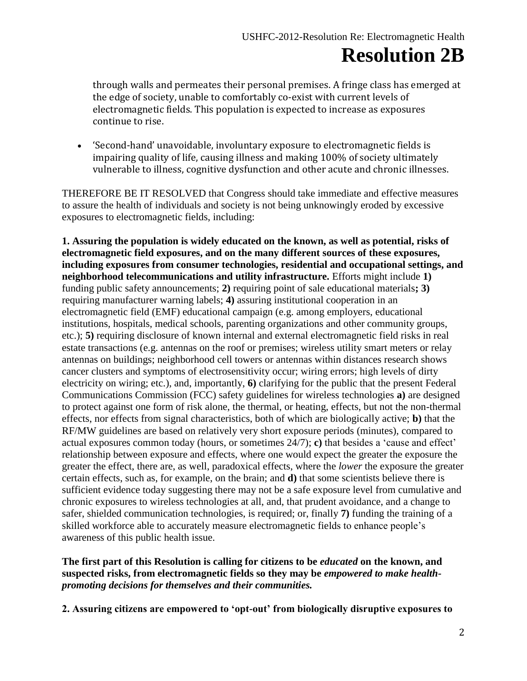## **Resolution 2B**

through walls and permeates their personal premises. A fringe class has emerged at the edge of society, unable to comfortably co-exist with current levels of electromagnetic fields. This population is expected to increase as exposures continue to rise.

 'Second-hand' unavoidable, involuntary exposure to electromagnetic fields is impairing quality of life, causing illness and making 100% of society ultimately vulnerable to illness, cognitive dysfunction and other acute and chronic illnesses.

THEREFORE BE IT RESOLVED that Congress should take immediate and effective measures to assure the health of individuals and society is not being unknowingly eroded by excessive exposures to electromagnetic fields, including:

**1. Assuring the population is widely educated on the known, as well as potential, risks of electromagnetic field exposures, and on the many different sources of these exposures, including exposures from consumer technologies, residential and occupational settings, and neighborhood telecommunications and utility infrastructure.** Efforts might include **1)** funding public safety announcements; **2)** requiring point of sale educational materials**; 3)** requiring manufacturer warning labels; **4)** assuring institutional cooperation in an electromagnetic field (EMF) educational campaign (e.g. among employers, educational institutions, hospitals, medical schools, parenting organizations and other community groups, etc.); **5)** requiring disclosure of known internal and external electromagnetic field risks in real estate transactions (e.g. antennas on the roof or premises; wireless utility smart meters or relay antennas on buildings; neighborhood cell towers or antennas within distances research shows cancer clusters and symptoms of electrosensitivity occur; wiring errors; high levels of dirty electricity on wiring; etc.), and, importantly, **6)** clarifying for the public that the present Federal Communications Commission (FCC) safety guidelines for wireless technologies **a)** are designed to protect against one form of risk alone, the thermal, or heating, effects, but not the non-thermal effects, nor effects from signal characteristics, both of which are biologically active; **b)** that the RF/MW guidelines are based on relatively very short exposure periods (minutes), compared to actual exposures common today (hours, or sometimes 24/7); **c)** that besides a 'cause and effect' relationship between exposure and effects, where one would expect the greater the exposure the greater the effect, there are, as well, paradoxical effects, where the *lower* the exposure the greater certain effects, such as, for example, on the brain; and **d)** that some scientists believe there is sufficient evidence today suggesting there may not be a safe exposure level from cumulative and chronic exposures to wireless technologies at all, and, that prudent avoidance, and a change to safer, shielded communication technologies, is required; or, finally **7)** funding the training of a skilled workforce able to accurately measure electromagnetic fields to enhance people's awareness of this public health issue.

#### **The first part of this Resolution is calling for citizens to be** *educated* **on the known, and suspected risks, from electromagnetic fields so they may be** *empowered to make healthpromoting decisions for themselves and their communities.*

**2. Assuring citizens are empowered to 'opt-out' from biologically disruptive exposures to**